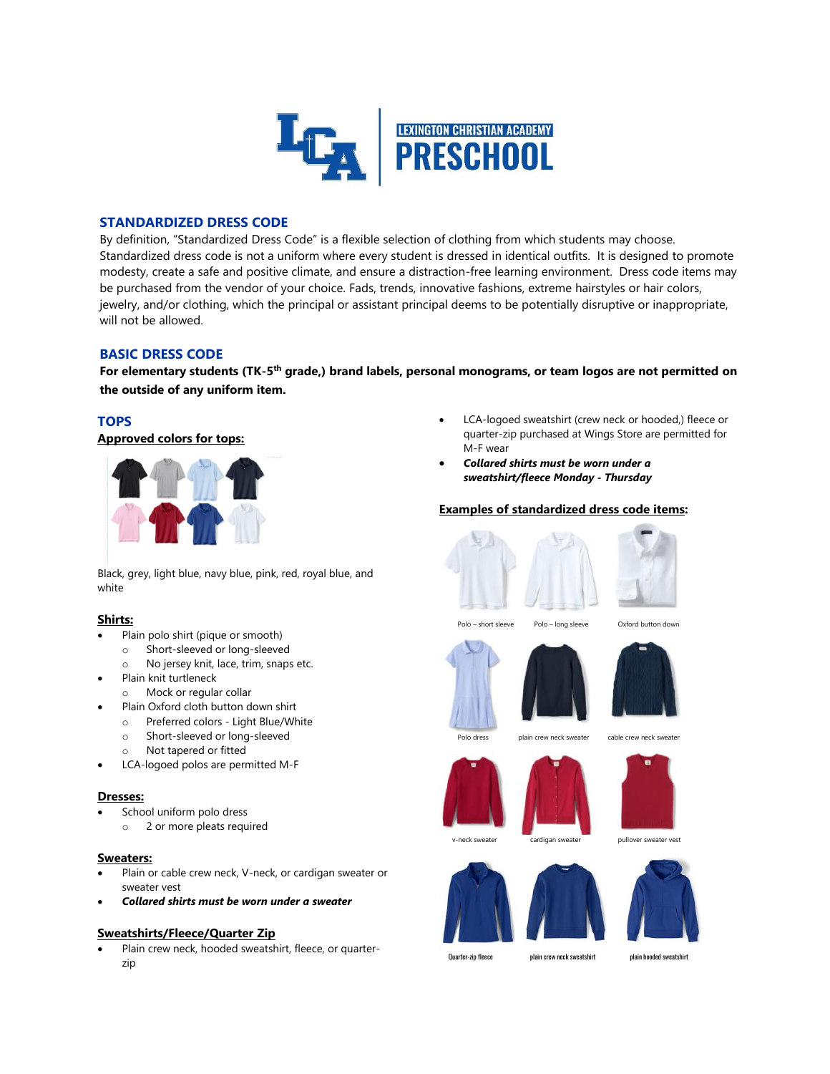

# **STANDARDIZED DRESS CODE**

By definition, "Standardized Dress Code" is a flexible selection of clothing from which students may choose. Standardized dress code is not a uniform where every student is dressed in identical outfits. It is designed to promote modesty, create a safe and positive climate, and ensure a distraction-free learning environment. Dress code items may be purchased from the vendor of your choice. Fads, trends, innovative fashions, extreme hairstyles or hair colors, jewelry, and/or clothing, which the principal or assistant principal deems to be potentially disruptive or inappropriate, will not be allowed.

# **BASIC DRESS CODE**

**For elementary students (TK-5 th grade,) brand labels, personal monograms, or team logos are not permitted on the outside of any uniform item.**

# **TOPS**

**Approved colors for tops:**



Black, grey, light blue, navy blue, pink, red, royal blue, and white

# **Shirts:**

- Plain polo shirt (pique or smooth)
- o Short-sleeved or long-sleeved
- o No jersey knit, lace, trim, snaps etc.
- Plain knit turtleneck
- o Mock or regular collar
- Plain Oxford cloth button down shirt
	- o Preferred colors Light Blue/White
	- o Short-sleeved or long-sleeved
	- o Not tapered or fitted
- LCA-logoed polos are permitted M-F

## **Dresses:**

- School uniform polo dress
	- o 2 or more pleats required

## **Sweaters:**

- Plain or cable crew neck, V-neck, or cardigan sweater or sweater vest
- *Collared shirts must be worn under a sweater*

# **Sweatshirts/Fleece/Quarter Zip**

 Plain crew neck, hooded sweatshirt, fleece, or quarterzip

- LCA-logoed sweatshirt (crew neck or hooded,) fleece or quarter-zip purchased at Wings Store are permitted for M-F wear
- *Collared shirts must be worn under a sweatshirt/fleece Monday - Thursday*

## **Examples of standardized dress code items:**